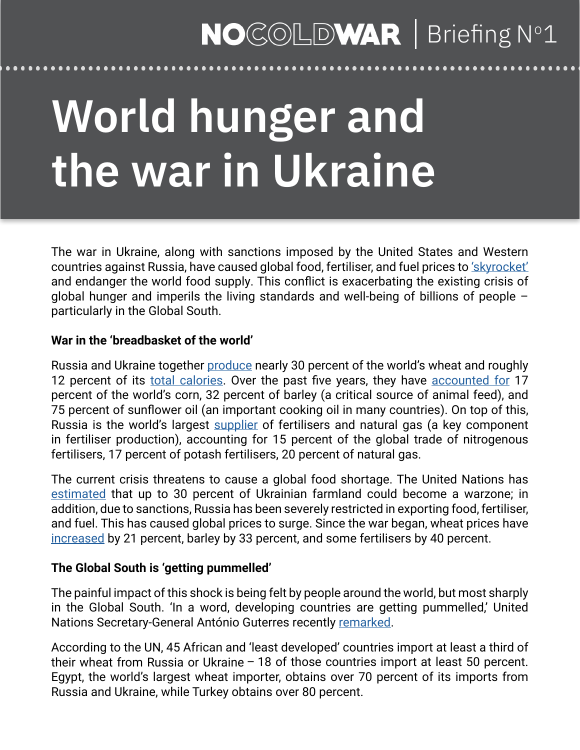### NOCOLDWAR | Briefing N°1

# **World hunger and the war in Ukraine**

The war in Ukraine, along with sanctions imposed by the United States and Western countries against Russia, have caused global food, fertiliser, and fuel prices to ['skyrocket'](https://www.un.org/sg/en/node/262376) and endanger the world food supply. This conflict is exacerbating the existing crisis of global hunger and imperils the living standards and well-being of billions of people – particularly in the Global South.

#### **War in the 'breadbasket of the world'**

Russia and Ukraine together [produce](https://www.un.org/sg/en/node/262376) nearly 30 percent of the world's wheat and roughly 12 percent of its [total calories](https://www.ft.com/content/61c4032c-4a68-4cc3-b84c-e83a15d0bbe2). Over the past five years, they have [accounted for](https://www.nytimes.com/2022/03/20/world/americas/ukraine-war-global-food-crisis.html) 17 percent of the world's corn, 32 percent of barley (a critical source of animal feed), and 75 percent of sunflower oil (an important cooking oil in many countries). On top of this, Russia is the world's largest [supplier](https://www.dw.com/en/high-fertilizer-costs-threaten-farmers-amid-sanctions-on-russia/a-61163444) of fertilisers and natural gas (a key component in fertiliser production), accounting for 15 percent of the global trade of nitrogenous fertilisers, 17 percent of potash fertilisers, 20 percent of natural gas.

The current crisis threatens to cause a global food shortage. The United Nations has [estimated](https://www.nytimes.com/2022/03/20/world/americas/ukraine-war-global-food-crisis.html) that up to 30 percent of Ukrainian farmland could become a warzone; in addition, due to sanctions, Russia has been severely restricted in exporting food, fertiliser, and fuel. This has caused global prices to surge. Since the war began, wheat prices have [increased](https://www.nytimes.com/2022/03/20/world/americas/ukraine-war-global-food-crisis.html) by 21 percent, barley by 33 percent, and some fertilisers by 40 percent.

#### **The Global South is 'getting pummelled'**

The painful impact of this shock is being felt by people around the world, but most sharply in the Global South. 'In a word, developing countries are getting pummelled,' United Nations Secretary-General António Guterres recently [remarked.](https://www.un.org/sg/en/node/262376)

According to the UN, 45 African and 'least developed' countries import at least a third of their wheat from Russia or Ukraine – 18 of those countries import at least 50 percent. Egypt, the world's largest wheat importer, obtains over 70 percent of its imports from Russia and Ukraine, while Turkey obtains over 80 percent.